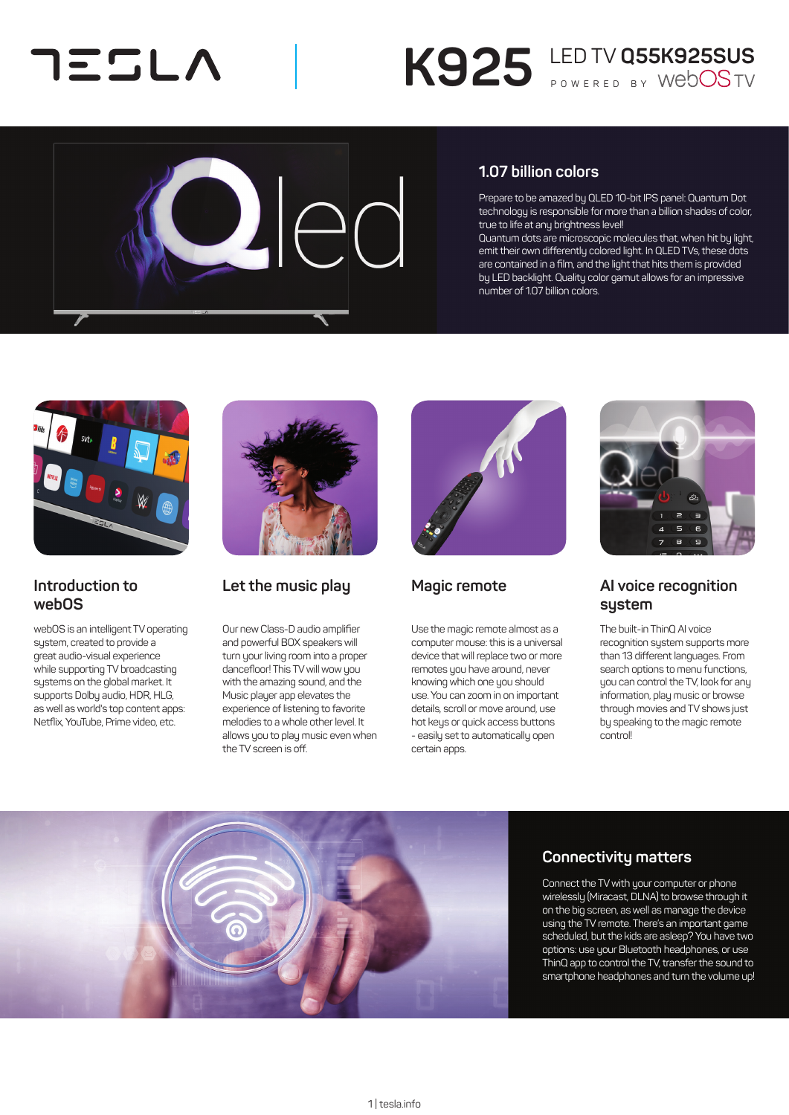## コミニレヘ

# K925 LED TV Q55K925SUS



### **1.07 billion colors**

Prepare to be amazed by QLED 10-bit IPS panel: Quantum Dot technology is responsible for more than a billion shades of color, true to life at any brightness level!

Quantum dots are microscopic molecules that, when hit by light, emit their own differently colored light. In QLED TVs, these dots are contained in a film, and the light that hits them is provided by LED backlight. Quality color gamut allows for an impressive number of 1.07 billion colors.



### **Introduction to webOS**

webOS is an intelligent TV operating system, created to provide a great audio-visual experience while supporting TV broadcasting systems on the global market. It supports Dolby audio, HDR, HLG, as well as world's top content apps: Netflix, YouTube, Prime video, etc.



## **Let the music play**

Our new Class-D audio amplifier and powerful BOX speakers will turn your living room into a proper dancefloor! This TV will wow you with the amazing sound, and the Music player app elevates the experience of listening to favorite melodies to a whole other level. It allows you to play music even when the TV screen is off.



## **Magic remote**

Use the magic remote almost as a computer mouse: this is a universal device that will replace two or more remotes you have around, never knowing which one you should use. You can zoom in on important details, scroll or move around, use hot keys or quick access buttons - easily set to automatically open certain apps.



## **AI voice recognition system**

The built-in ThinQ AI voice recognition system supports more than 13 different languages. From search options to menu functions, you can control the TV, look for any information, play music or browse through movies and TV shows just by speaking to the magic remote control!



## **Connectivity matters**

Connect the TV with your computer or phone wirelessly (Miracast, DLNA) to browse through it on the big screen, as well as manage the device using the TV remote. There's an important game scheduled, but the kids are asleep? You have two options: use your Bluetooth headphones, or use ThinQ app to control the TV, transfer the sound to smartphone headphones and turn the volume up!